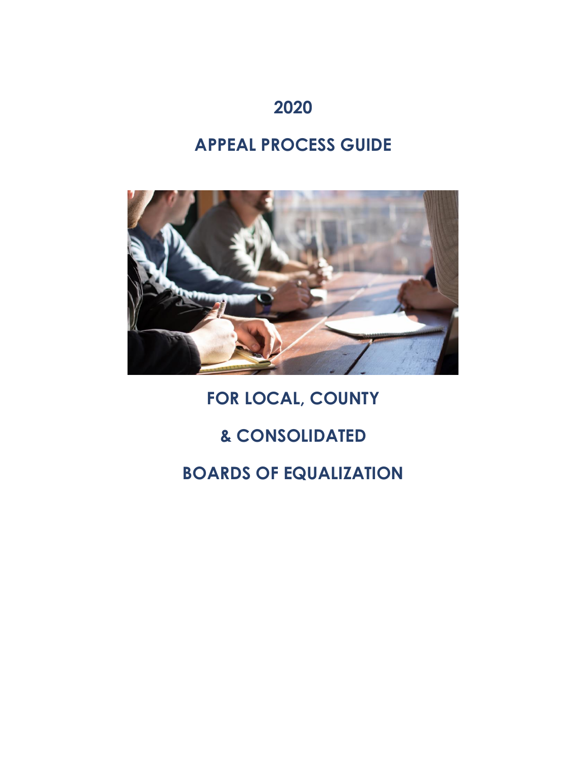## **2020**

# **APPEAL PROCESS GUIDE**



# **FOR LOCAL, COUNTY**

# **& CONSOLIDATED**

# **BOARDS OF EQUALIZATION**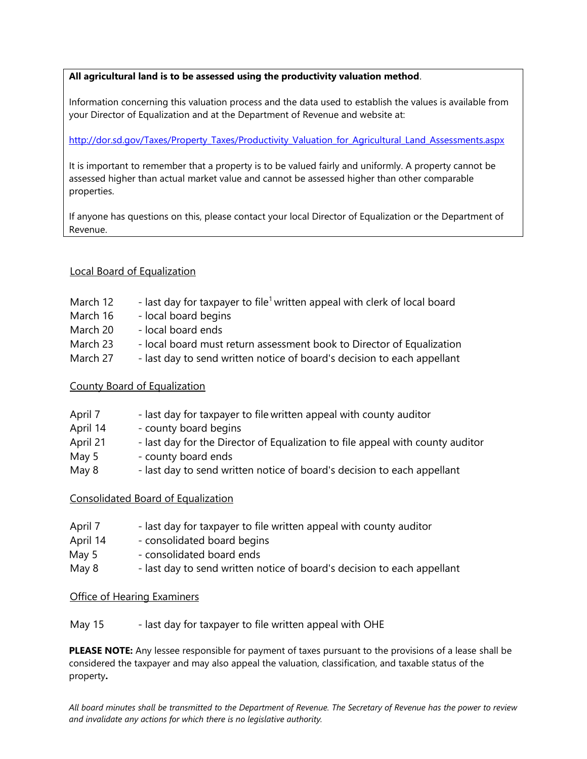#### **All agricultural land is to be assessed using the productivity valuation method**.

Information concerning this valuation process and the data used to establish the values is available from your Director of Equalization and at the Department of Revenue and website at:

[http://dor.sd.gov/Taxes/Property\\_Taxes/Productivity\\_Valuation\\_for\\_Agricultural\\_Land\\_Assessments.aspx](http://dor.sd.gov/Taxes/Property_Taxes/Productivity_Valuation_for_Agricultural_Land_Assessments.aspx)

It is important to remember that a property is to be valued fairly and uniformly. A property cannot be assessed higher than actual market value and cannot be assessed higher than other comparable properties.

If anyone has questions on this, please contact your local Director of Equalization or the Department of Revenue.

#### Local Board of Equalization

- March 12  $-$  last day for taxpayer to file<sup>1</sup> written appeal with clerk of local board
- March 16 local board begins
- March 20 local board ends
- March 23 local board must return assessment book to Director of Equalization
- March 27 last day to send written notice of board's decision to each appellant

#### County Board of Equalization

- April 7 last day for taxpayer to file written appeal with county auditor
- April 14 county board begins
- April 21 last day for the Director of Equalization to file appeal with county auditor
- May 5 county board ends
- May 8 last day to send written notice of board's decision to each appellant

#### Consolidated Board of Equalization

- April 7 last day for taxpayer to file written appeal with county auditor
- April 14 consolidated board begins
- May 5 consolidated board ends
- May 8 last day to send written notice of board's decision to each appellant

#### Office of Hearing Examiners

May 15 - last day for taxpayer to file written appeal with OHE

**PLEASE NOTE:** Any lessee responsible for payment of taxes pursuant to the provisions of a lease shall be considered the taxpayer and may also appeal the valuation, classification, and taxable status of the property**.**

*All board minutes shall be transmitted to the Department of Revenue. The Secretary of Revenue has the power to review and invalidate any actions for which there is no legislative authority.*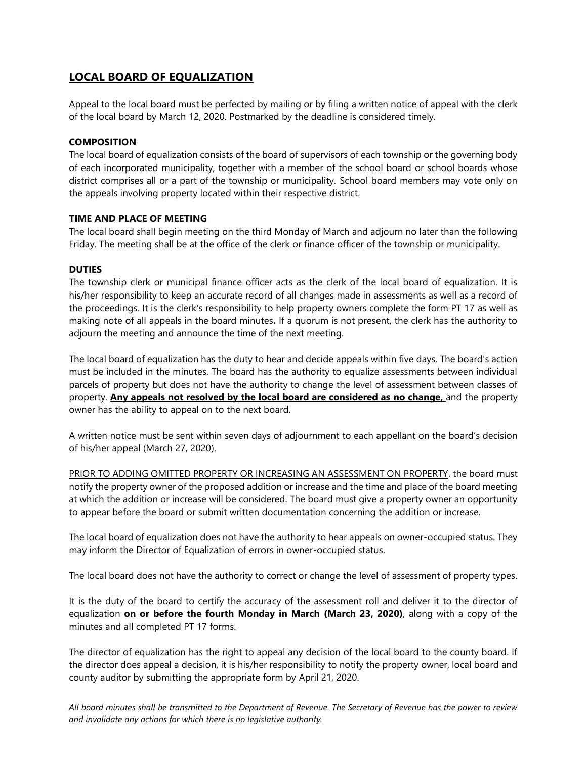## **LOCAL BOARD OF EQUALIZATION**

Appeal to the local board must be perfected by mailing or by filing a written notice of appeal with the clerk of the local board by March 12, 2020. Postmarked by the deadline is considered timely.

#### **COMPOSITION**

The local board of equalization consists of the board of supervisors of each township or the governing body of each incorporated municipality, together with a member of the school board or school boards whose district comprises all or a part of the township or municipality. School board members may vote only on the appeals involving property located within their respective district.

#### **TIME AND PLACE OF MEETING**

The local board shall begin meeting on the third Monday of March and adjourn no later than the following Friday. The meeting shall be at the office of the clerk or finance officer of the township or municipality.

#### **DUTIES**

The township clerk or municipal finance officer acts as the clerk of the local board of equalization. It is his/her responsibility to keep an accurate record of all changes made in assessments as well as a record of the proceedings. It is the clerk's responsibility to help property owners complete the form PT 17 as well as making note of all appeals in the board minutes**.** If a quorum is not present, the clerk has the authority to adjourn the meeting and announce the time of the next meeting.

The local board of equalization has the duty to hear and decide appeals within five days. The board's action must be included in the minutes. The board has the authority to equalize assessments between individual parcels of property but does not have the authority to change the level of assessment between classes of property. **Any appeals not resolved by the local board are considered as no change,** and the property owner has the ability to appeal on to the next board.

A written notice must be sent within seven days of adjournment to each appellant on the board's decision of his/her appeal (March 27, 2020).

PRIOR TO ADDING OMITTED PROPERTY OR INCREASING AN ASSESSMENT ON PROPERTY, the board must notify the property owner of the proposed addition or increase and the time and place of the board meeting at which the addition or increase will be considered. The board must give a property owner an opportunity to appear before the board or submit written documentation concerning the addition or increase.

The local board of equalization does not have the authority to hear appeals on owner-occupied status. They may inform the Director of Equalization of errors in owner-occupied status.

The local board does not have the authority to correct or change the level of assessment of property types.

It is the duty of the board to certify the accuracy of the assessment roll and deliver it to the director of equalization **on or before the fourth Monday in March (March 23, 2020)**, along with a copy of the minutes and all completed PT 17 forms.

The director of equalization has the right to appeal any decision of the local board to the county board. If the director does appeal a decision, it is his/her responsibility to notify the property owner, local board and county auditor by submitting the appropriate form by April 21, 2020.

*All board minutes shall be transmitted to the Department of Revenue. The Secretary of Revenue has the power to review and invalidate any actions for which there is no legislative authority.*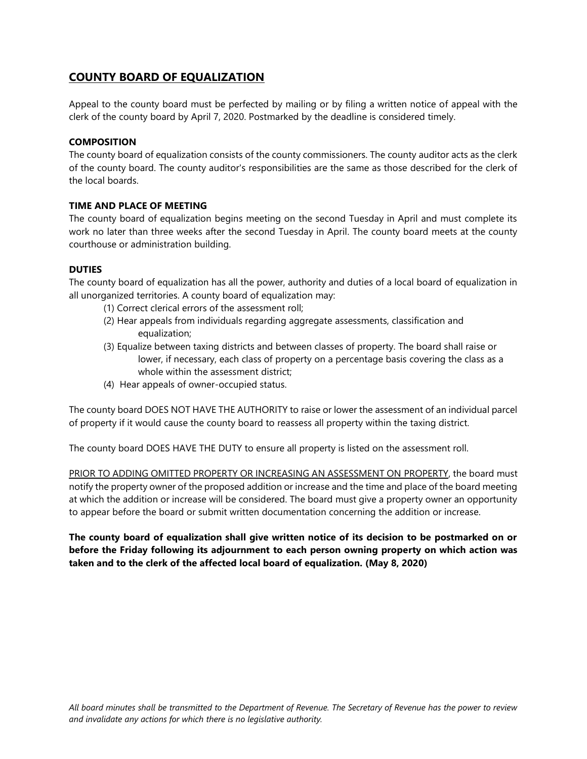## **COUNTY BOARD OF EQUALIZATION**

Appeal to the county board must be perfected by mailing or by filing a written notice of appeal with the clerk of the county board by April 7, 2020. Postmarked by the deadline is considered timely.

#### **COMPOSITION**

The county board of equalization consists of the county commissioners. The county auditor acts as the clerk of the county board. The county auditor's responsibilities are the same as those described for the clerk of the local boards.

#### **TIME AND PLACE OF MEETING**

The county board of equalization begins meeting on the second Tuesday in April and must complete its work no later than three weeks after the second Tuesday in April. The county board meets at the county courthouse or administration building.

#### **DUTIES**

The county board of equalization has all the power, authority and duties of a local board of equalization in all unorganized territories. A county board of equalization may:

- (1) Correct clerical errors of the assessment roll;
- (2) Hear appeals from individuals regarding aggregate assessments, classification and equalization;
- (3) Equalize between taxing districts and between classes of property. The board shall raise or lower, if necessary, each class of property on a percentage basis covering the class as a whole within the assessment district;
- (4) Hear appeals of owner-occupied status.

The county board DOES NOT HAVE THE AUTHORITY to raise or lower the assessment of an individual parcel of property if it would cause the county board to reassess all property within the taxing district.

The county board DOES HAVE THE DUTY to ensure all property is listed on the assessment roll.

PRIOR TO ADDING OMITTED PROPERTY OR INCREASING AN ASSESSMENT ON PROPERTY, the board must notify the property owner of the proposed addition or increase and the time and place of the board meeting at which the addition or increase will be considered. The board must give a property owner an opportunity to appear before the board or submit written documentation concerning the addition or increase.

**The county board of equalization shall give written notice of its decision to be postmarked on or before the Friday following its adjournment to each person owning property on which action was taken and to the clerk of the affected local board of equalization. (May 8, 2020)**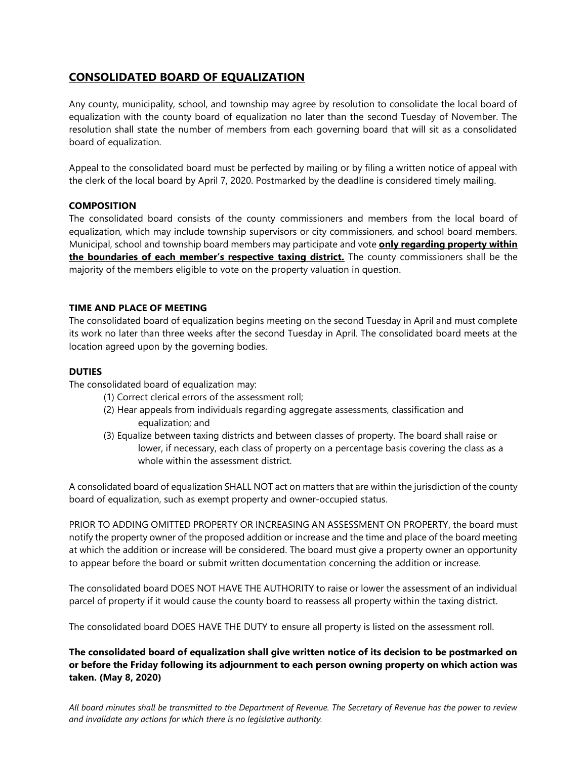## **CONSOLIDATED BOARD OF EQUALIZATION**

Any county, municipality, school, and township may agree by resolution to consolidate the local board of equalization with the county board of equalization no later than the second Tuesday of November. The resolution shall state the number of members from each governing board that will sit as a consolidated board of equalization.

Appeal to the consolidated board must be perfected by mailing or by filing a written notice of appeal with the clerk of the local board by April 7, 2020. Postmarked by the deadline is considered timely mailing.

#### **COMPOSITION**

The consolidated board consists of the county commissioners and members from the local board of equalization, which may include township supervisors or city commissioners, and school board members. Municipal, school and township board members may participate and vote **only regarding property within the boundaries of each member's respective taxing district.** The county commissioners shall be the majority of the members eligible to vote on the property valuation in question.

#### **TIME AND PLACE OF MEETING**

The consolidated board of equalization begins meeting on the second Tuesday in April and must complete its work no later than three weeks after the second Tuesday in April. The consolidated board meets at the location agreed upon by the governing bodies.

#### **DUTIES**

The consolidated board of equalization may:

- (1) Correct clerical errors of the assessment roll;
- (2) Hear appeals from individuals regarding aggregate assessments, classification and equalization; and
- (3) Equalize between taxing districts and between classes of property. The board shall raise or lower, if necessary, each class of property on a percentage basis covering the class as a whole within the assessment district.

A consolidated board of equalization SHALL NOT act on matters that are within the jurisdiction of the county board of equalization, such as exempt property and owner-occupied status.

PRIOR TO ADDING OMITTED PROPERTY OR INCREASING AN ASSESSMENT ON PROPERTY, the board must notify the property owner of the proposed addition or increase and the time and place of the board meeting at which the addition or increase will be considered. The board must give a property owner an opportunity to appear before the board or submit written documentation concerning the addition or increase.

The consolidated board DOES NOT HAVE THE AUTHORITY to raise or lower the assessment of an individual parcel of property if it would cause the county board to reassess all property within the taxing district.

The consolidated board DOES HAVE THE DUTY to ensure all property is listed on the assessment roll.

**The consolidated board of equalization shall give written notice of its decision to be postmarked on or before the Friday following its adjournment to each person owning property on which action was taken. (May 8, 2020)**

*All board minutes shall be transmitted to the Department of Revenue. The Secretary of Revenue has the power to review and invalidate any actions for which there is no legislative authority.*